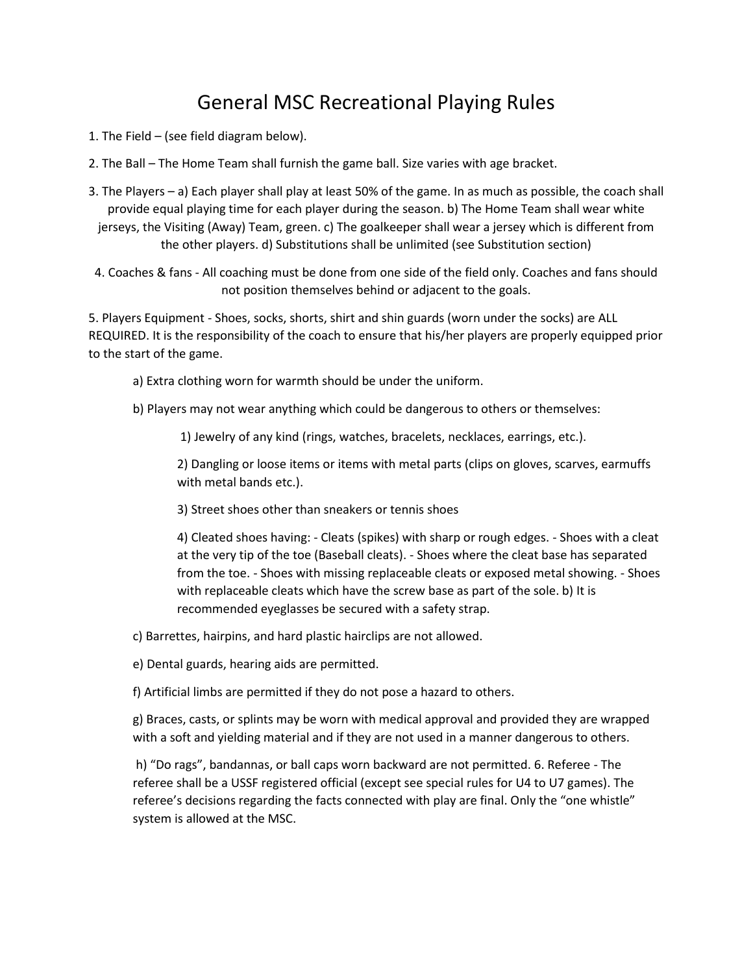# General MSC Recreational Playing Rules

- 1. The Field (see field diagram below).
- 2. The Ball The Home Team shall furnish the game ball. Size varies with age bracket.
- 3. The Players a) Each player shall play at least 50% of the game. In as much as possible, the coach shall provide equal playing time for each player during the season. b) The Home Team shall wear white jerseys, the Visiting (Away) Team, green. c) The goalkeeper shall wear a jersey which is different from the other players. d) Substitutions shall be unlimited (see Substitution section)
- 4. Coaches & fans All coaching must be done from one side of the field only. Coaches and fans should not position themselves behind or adjacent to the goals.

5. Players Equipment - Shoes, socks, shorts, shirt and shin guards (worn under the socks) are ALL REQUIRED. It is the responsibility of the coach to ensure that his/her players are properly equipped prior to the start of the game.

- a) Extra clothing worn for warmth should be under the uniform.
- b) Players may not wear anything which could be dangerous to others or themselves:

1) Jewelry of any kind (rings, watches, bracelets, necklaces, earrings, etc.).

2) Dangling or loose items or items with metal parts (clips on gloves, scarves, earmuffs with metal bands etc.).

3) Street shoes other than sneakers or tennis shoes

4) Cleated shoes having: - Cleats (spikes) with sharp or rough edges. - Shoes with a cleat at the very tip of the toe (Baseball cleats). - Shoes where the cleat base has separated from the toe. - Shoes with missing replaceable cleats or exposed metal showing. - Shoes with replaceable cleats which have the screw base as part of the sole. b) It is recommended eyeglasses be secured with a safety strap.

c) Barrettes, hairpins, and hard plastic hairclips are not allowed.

e) Dental guards, hearing aids are permitted.

f) Artificial limbs are permitted if they do not pose a hazard to others.

g) Braces, casts, or splints may be worn with medical approval and provided they are wrapped with a soft and yielding material and if they are not used in a manner dangerous to others.

h) "Do rags", bandannas, or ball caps worn backward are not permitted. 6. Referee - The referee shall be a USSF registered official (except see special rules for U4 to U7 games). The referee's decisions regarding the facts connected with play are final. Only the "one whistle" system is allowed at the MSC.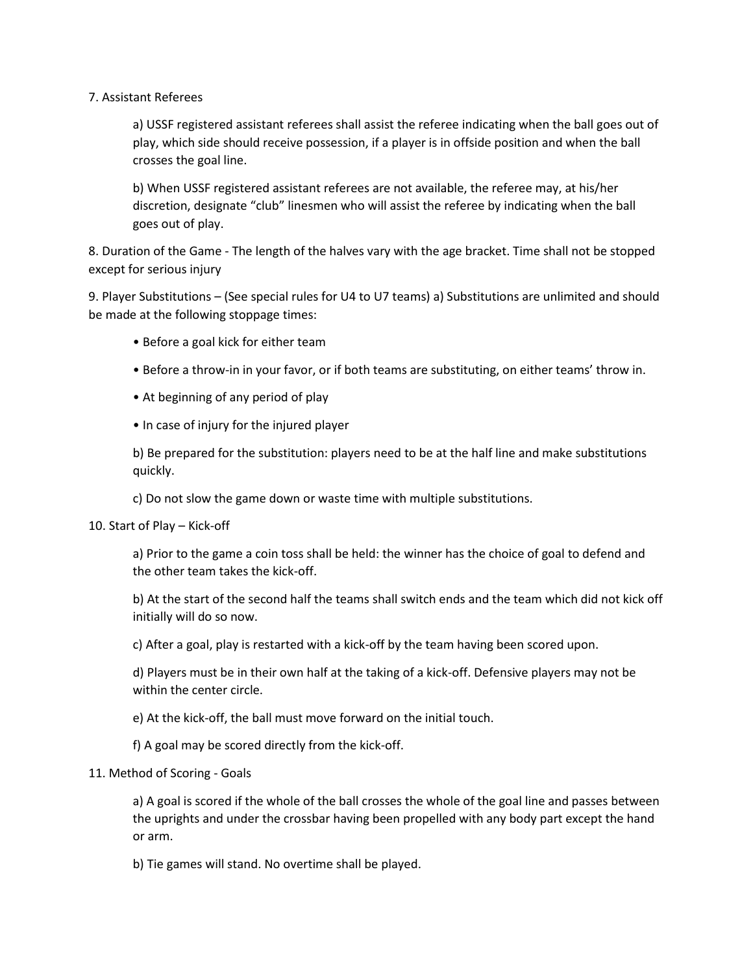### 7. Assistant Referees

a) USSF registered assistant referees shall assist the referee indicating when the ball goes out of play, which side should receive possession, if a player is in offside position and when the ball crosses the goal line.

b) When USSF registered assistant referees are not available, the referee may, at his/her discretion, designate "club" linesmen who will assist the referee by indicating when the ball goes out of play.

8. Duration of the Game - The length of the halves vary with the age bracket. Time shall not be stopped except for serious injury

9. Player Substitutions – (See special rules for U4 to U7 teams) a) Substitutions are unlimited and should be made at the following stoppage times:

- Before a goal kick for either team
- Before a throw-in in your favor, or if both teams are substituting, on either teams' throw in.
- At beginning of any period of play
- In case of injury for the injured player

b) Be prepared for the substitution: players need to be at the half line and make substitutions quickly.

c) Do not slow the game down or waste time with multiple substitutions.

10. Start of Play – Kick-off

a) Prior to the game a coin toss shall be held: the winner has the choice of goal to defend and the other team takes the kick-off.

b) At the start of the second half the teams shall switch ends and the team which did not kick off initially will do so now.

c) After a goal, play is restarted with a kick-off by the team having been scored upon.

d) Players must be in their own half at the taking of a kick-off. Defensive players may not be within the center circle.

e) At the kick-off, the ball must move forward on the initial touch.

f) A goal may be scored directly from the kick-off.

#### 11. Method of Scoring - Goals

a) A goal is scored if the whole of the ball crosses the whole of the goal line and passes between the uprights and under the crossbar having been propelled with any body part except the hand or arm.

b) Tie games will stand. No overtime shall be played.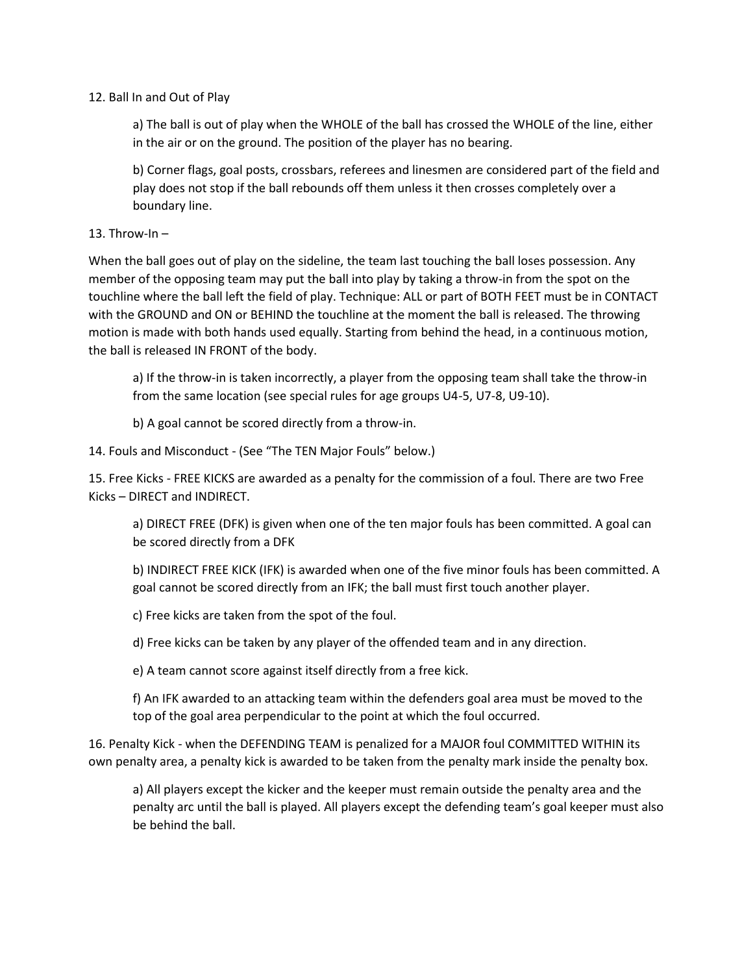### 12. Ball In and Out of Play

a) The ball is out of play when the WHOLE of the ball has crossed the WHOLE of the line, either in the air or on the ground. The position of the player has no bearing.

b) Corner flags, goal posts, crossbars, referees and linesmen are considered part of the field and play does not stop if the ball rebounds off them unless it then crosses completely over a boundary line.

#### 13. Throw-In  $-$

When the ball goes out of play on the sideline, the team last touching the ball loses possession. Any member of the opposing team may put the ball into play by taking a throw-in from the spot on the touchline where the ball left the field of play. Technique: ALL or part of BOTH FEET must be in CONTACT with the GROUND and ON or BEHIND the touchline at the moment the ball is released. The throwing motion is made with both hands used equally. Starting from behind the head, in a continuous motion, the ball is released IN FRONT of the body.

a) If the throw-in is taken incorrectly, a player from the opposing team shall take the throw-in from the same location (see special rules for age groups U4-5, U7-8, U9-10).

b) A goal cannot be scored directly from a throw-in.

14. Fouls and Misconduct - (See "The TEN Major Fouls" below.)

15. Free Kicks - FREE KICKS are awarded as a penalty for the commission of a foul. There are two Free Kicks – DIRECT and INDIRECT.

a) DIRECT FREE (DFK) is given when one of the ten major fouls has been committed. A goal can be scored directly from a DFK

b) INDIRECT FREE KICK (IFK) is awarded when one of the five minor fouls has been committed. A goal cannot be scored directly from an IFK; the ball must first touch another player.

c) Free kicks are taken from the spot of the foul.

d) Free kicks can be taken by any player of the offended team and in any direction.

e) A team cannot score against itself directly from a free kick.

f) An IFK awarded to an attacking team within the defenders goal area must be moved to the top of the goal area perpendicular to the point at which the foul occurred.

16. Penalty Kick - when the DEFENDING TEAM is penalized for a MAJOR foul COMMITTED WITHIN its own penalty area, a penalty kick is awarded to be taken from the penalty mark inside the penalty box.

a) All players except the kicker and the keeper must remain outside the penalty area and the penalty arc until the ball is played. All players except the defending team's goal keeper must also be behind the ball.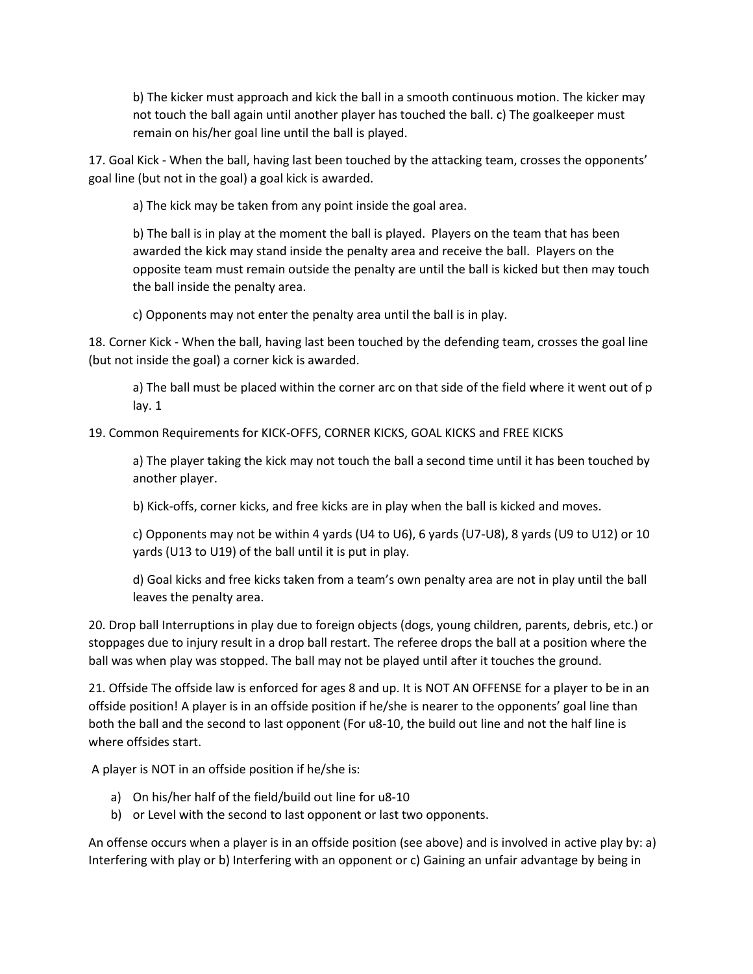b) The kicker must approach and kick the ball in a smooth continuous motion. The kicker may not touch the ball again until another player has touched the ball. c) The goalkeeper must remain on his/her goal line until the ball is played.

17. Goal Kick - When the ball, having last been touched by the attacking team, crosses the opponents' goal line (but not in the goal) a goal kick is awarded.

a) The kick may be taken from any point inside the goal area.

b) The ball is in play at the moment the ball is played. Players on the team that has been awarded the kick may stand inside the penalty area and receive the ball. Players on the opposite team must remain outside the penalty are until the ball is kicked but then may touch the ball inside the penalty area.

c) Opponents may not enter the penalty area until the ball is in play.

18. Corner Kick - When the ball, having last been touched by the defending team, crosses the goal line (but not inside the goal) a corner kick is awarded.

a) The ball must be placed within the corner arc on that side of the field where it went out of p lay. 1

19. Common Requirements for KICK-OFFS, CORNER KICKS, GOAL KICKS and FREE KICKS

a) The player taking the kick may not touch the ball a second time until it has been touched by another player.

b) Kick-offs, corner kicks, and free kicks are in play when the ball is kicked and moves.

c) Opponents may not be within 4 yards (U4 to U6), 6 yards (U7-U8), 8 yards (U9 to U12) or 10 yards (U13 to U19) of the ball until it is put in play.

d) Goal kicks and free kicks taken from a team's own penalty area are not in play until the ball leaves the penalty area.

20. Drop ball Interruptions in play due to foreign objects (dogs, young children, parents, debris, etc.) or stoppages due to injury result in a drop ball restart. The referee drops the ball at a position where the ball was when play was stopped. The ball may not be played until after it touches the ground.

21. Offside The offside law is enforced for ages 8 and up. It is NOT AN OFFENSE for a player to be in an offside position! A player is in an offside position if he/she is nearer to the opponents' goal line than both the ball and the second to last opponent (For u8-10, the build out line and not the half line is where offsides start.

A player is NOT in an offside position if he/she is:

- a) On his/her half of the field/build out line for u8-10
- b) or Level with the second to last opponent or last two opponents.

An offense occurs when a player is in an offside position (see above) and is involved in active play by: a) Interfering with play or b) Interfering with an opponent or c) Gaining an unfair advantage by being in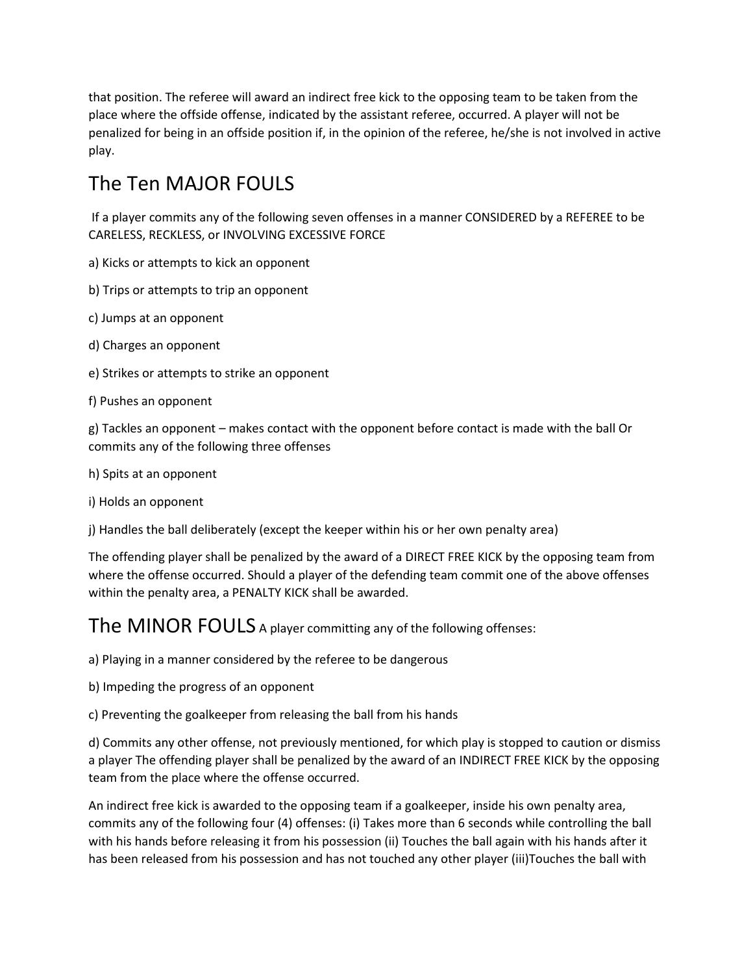that position. The referee will award an indirect free kick to the opposing team to be taken from the place where the offside offense, indicated by the assistant referee, occurred. A player will not be penalized for being in an offside position if, in the opinion of the referee, he/she is not involved in active play.

# The Ten MAJOR FOULS

If a player commits any of the following seven offenses in a manner CONSIDERED by a REFEREE to be CARELESS, RECKLESS, or INVOLVING EXCESSIVE FORCE

- a) Kicks or attempts to kick an opponent
- b) Trips or attempts to trip an opponent
- c) Jumps at an opponent
- d) Charges an opponent
- e) Strikes or attempts to strike an opponent
- f) Pushes an opponent

g) Tackles an opponent – makes contact with the opponent before contact is made with the ball Or commits any of the following three offenses

- h) Spits at an opponent
- i) Holds an opponent

j) Handles the ball deliberately (except the keeper within his or her own penalty area)

The offending player shall be penalized by the award of a DIRECT FREE KICK by the opposing team from where the offense occurred. Should a player of the defending team commit one of the above offenses within the penalty area, a PENALTY KICK shall be awarded.

The MINOR FOULS A player committing any of the following offenses:

a) Playing in a manner considered by the referee to be dangerous

- b) Impeding the progress of an opponent
- c) Preventing the goalkeeper from releasing the ball from his hands

d) Commits any other offense, not previously mentioned, for which play is stopped to caution or dismiss a player The offending player shall be penalized by the award of an INDIRECT FREE KICK by the opposing team from the place where the offense occurred.

An indirect free kick is awarded to the opposing team if a goalkeeper, inside his own penalty area, commits any of the following four (4) offenses: (i) Takes more than 6 seconds while controlling the ball with his hands before releasing it from his possession (ii) Touches the ball again with his hands after it has been released from his possession and has not touched any other player (iii)Touches the ball with